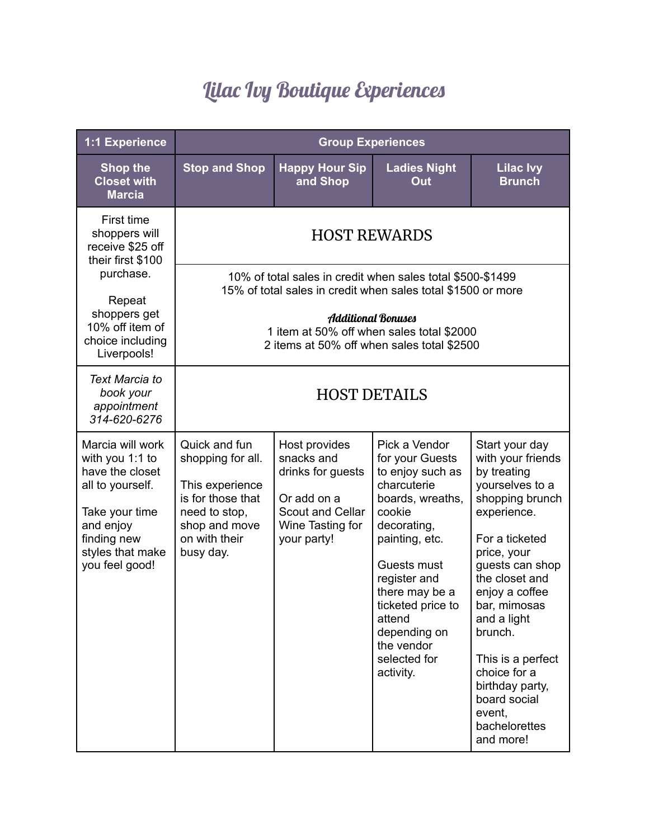## Lilac Ivy Boutique Experiences

| 1:1 Experience                                                                                                                                                    | <b>Group Experiences</b>                                                                                                                                                                                                                           |                                                                                                                        |                                                                                                                                                                                                                                                                               |                                                                                                                                                                                                                                                                                                                                                           |
|-------------------------------------------------------------------------------------------------------------------------------------------------------------------|----------------------------------------------------------------------------------------------------------------------------------------------------------------------------------------------------------------------------------------------------|------------------------------------------------------------------------------------------------------------------------|-------------------------------------------------------------------------------------------------------------------------------------------------------------------------------------------------------------------------------------------------------------------------------|-----------------------------------------------------------------------------------------------------------------------------------------------------------------------------------------------------------------------------------------------------------------------------------------------------------------------------------------------------------|
| <b>Shop the</b><br><b>Closet with</b><br><b>Marcia</b>                                                                                                            | <b>Stop and Shop</b>                                                                                                                                                                                                                               | <b>Happy Hour Sip</b><br>and Shop                                                                                      | <b>Ladies Night</b><br>Out                                                                                                                                                                                                                                                    | <b>Lilac Ivy</b><br><b>Brunch</b>                                                                                                                                                                                                                                                                                                                         |
| First time<br>shoppers will<br>receive \$25 off<br>their first \$100<br>purchase.<br>Repeat<br>shoppers get<br>10% off item of<br>choice including<br>Liverpools! | <b>HOST REWARDS</b>                                                                                                                                                                                                                                |                                                                                                                        |                                                                                                                                                                                                                                                                               |                                                                                                                                                                                                                                                                                                                                                           |
|                                                                                                                                                                   | 10% of total sales in credit when sales total \$500-\$1499<br>15% of total sales in credit when sales total \$1500 or more<br><b>Additional Bonuses</b><br>1 item at 50% off when sales total \$2000<br>2 items at 50% off when sales total \$2500 |                                                                                                                        |                                                                                                                                                                                                                                                                               |                                                                                                                                                                                                                                                                                                                                                           |
| <b>Text Marcia to</b><br>book your<br>appointment<br>314-620-6276                                                                                                 | <b>HOST DETAILS</b>                                                                                                                                                                                                                                |                                                                                                                        |                                                                                                                                                                                                                                                                               |                                                                                                                                                                                                                                                                                                                                                           |
| Marcia will work<br>with you 1:1 to<br>have the closet<br>all to yourself.<br>Take your time<br>and enjoy<br>finding new<br>styles that make<br>you feel good!    | Quick and fun<br>shopping for all.<br>This experience<br>is for those that<br>need to stop,<br>shop and move<br>on with their<br>busy day.                                                                                                         | Host provides<br>snacks and<br>drinks for guests<br>Or add on a<br>Scout and Cellar<br>Wine Tasting for<br>your party! | Pick a Vendor<br>for your Guests<br>to enjoy such as<br>charcuterie<br>boards, wreaths,<br>cookie<br>decorating,<br>painting, etc.<br>Guests must<br>register and<br>there may be a<br>ticketed price to<br>attend<br>depending on<br>the vendor<br>selected for<br>activity. | Start your day<br>with your friends<br>by treating<br>yourselves to a<br>shopping brunch<br>experience.<br>For a ticketed<br>price, your<br>guests can shop<br>the closet and<br>enjoy a coffee<br>bar, mimosas<br>and a light<br>brunch.<br>This is a perfect<br>choice for a<br>birthday party,<br>board social<br>event,<br>bachelorettes<br>and more! |